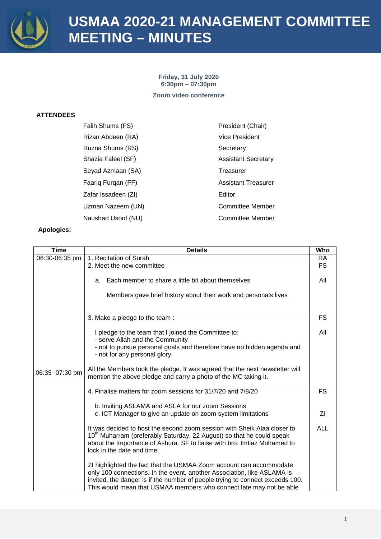

**Friday, 31 July 2020 6:30pm – 07:30pm Zoom video conference**

### **ATTENDEES**

| Falih Shums (FS)    | President (Chair)          |
|---------------------|----------------------------|
| Rizan Abdeen (RA)   | Vice President             |
| Ruzna Shums (RS)    | Secretary                  |
| Shazia Faleel (SF)  | <b>Assistant Secretary</b> |
| Seyad Azmaan (SA)   | Treasurer                  |
| Faarig Furgan (FF)  | <b>Assistant Treasurer</b> |
| Zafar Issadeen (ZI) | Editor                     |
| Uzman Nazeem (UN)   | <b>Committee Member</b>    |
| Naushad Usoof (NU)  | <b>Committee Member</b>    |

| <b>Time</b>     | <b>Details</b>                                                                                                                                                                                                                                                                                         | Who        |
|-----------------|--------------------------------------------------------------------------------------------------------------------------------------------------------------------------------------------------------------------------------------------------------------------------------------------------------|------------|
| 06:30-06:35 pm  | 1. Recitation of Surah                                                                                                                                                                                                                                                                                 | <b>RA</b>  |
|                 | 2. Meet the new committee                                                                                                                                                                                                                                                                              | <b>FS</b>  |
|                 | a. Each member to share a little bit about themselves                                                                                                                                                                                                                                                  | All        |
|                 | Members gave brief history about their work and personals lives                                                                                                                                                                                                                                        |            |
|                 | 3. Make a pledge to the team:                                                                                                                                                                                                                                                                          | <b>FS</b>  |
|                 | I pledge to the team that I joined the Committee to:<br>- serve Allah and the Community                                                                                                                                                                                                                | All        |
|                 | - not to pursue personal goals and therefore have no hidden agenda and<br>- not for any personal glory                                                                                                                                                                                                 |            |
| 06:35 -07:30 pm | All the Members took the pledge. It was agreed that the next newsletter will<br>mention the above pledge and carry a photo of the MC taking it.                                                                                                                                                        |            |
|                 | 4. Finalise matters for zoom sessions for 31/7/20 and 7/8/20                                                                                                                                                                                                                                           | <b>FS</b>  |
|                 | b. Inviting ASLAMA and ASLA for our zoom Sessions                                                                                                                                                                                                                                                      |            |
|                 | c. ICT Manager to give an update on zoom system limitations                                                                                                                                                                                                                                            | ΖI         |
|                 | It was decided to host the second zoom session with Sheik Alaa closer to<br>10 <sup>th</sup> Muharram (preferably Saturday, 22 August) so that he could speak<br>about the Importance of Ashura. SF to liaise with bro. Imtiaz Mohamed to<br>lock in the date and time.                                | <b>ALL</b> |
|                 | ZI highlighted the fact that the USMAA Zoom account can accommodate<br>only 100 connections. In the event, another Association, like ASLAMA is<br>invited, the danger is if the number of people trying to connect exceeds 100.<br>This would mean that USMAA members who connect late may not be able |            |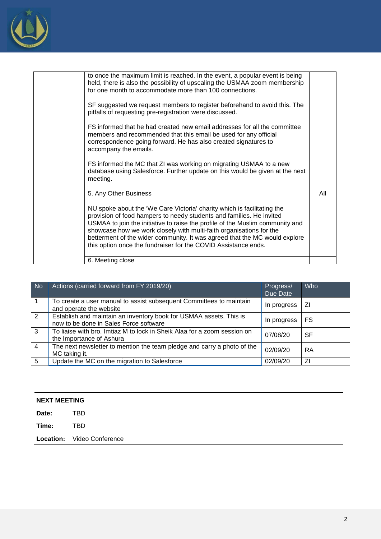

| to once the maximum limit is reached. In the event, a popular event is being<br>held, there is also the possibility of upscaling the USMAA zoom membership<br>for one month to accommodate more than 100 connections.                                                                                                                                                                                                                                   |     |
|---------------------------------------------------------------------------------------------------------------------------------------------------------------------------------------------------------------------------------------------------------------------------------------------------------------------------------------------------------------------------------------------------------------------------------------------------------|-----|
| SF suggested we request members to register beforehand to avoid this. The<br>pitfalls of requesting pre-registration were discussed.                                                                                                                                                                                                                                                                                                                    |     |
| FS informed that he had created new email addresses for all the committee<br>members and recommended that this email be used for any official<br>correspondence going forward. He has also created signatures to<br>accompany the emails.                                                                                                                                                                                                               |     |
| FS informed the MC that ZI was working on migrating USMAA to a new<br>database using Salesforce. Further update on this would be given at the next<br>meeting.                                                                                                                                                                                                                                                                                          |     |
| 5. Any Other Business                                                                                                                                                                                                                                                                                                                                                                                                                                   | All |
| NU spoke about the 'We Care Victoria' charity which is facilitating the<br>provision of food hampers to needy students and families. He invited<br>USMAA to join the initiative to raise the profile of the Muslim community and<br>showcase how we work closely with multi-faith organisations for the<br>betterment of the wider community. It was agreed that the MC would explore<br>this option once the fundraiser for the COVID Assistance ends. |     |
| 6. Meeting close                                                                                                                                                                                                                                                                                                                                                                                                                                        |     |

| No             | Actions (carried forward from FY 2019/20)                                                                    | Progress/<br>Due Date | Who |
|----------------|--------------------------------------------------------------------------------------------------------------|-----------------------|-----|
| $\overline{1}$ | To create a user manual to assist subsequent Committees to maintain<br>and operate the website               | In progress           | ΖI  |
| $\overline{2}$ | Establish and maintain an inventory book for USMAA assets. This is<br>now to be done in Sales Force software | In progress           | FS  |
| $\overline{3}$ | To liaise with bro. Imtiaz M to lock in Sheik Alaa for a zoom session on<br>the Importance of Ashura         | 07/08/20              | SF  |
| $\overline{4}$ | The next newsletter to mention the team pledge and carry a photo of the<br>MC taking it.                     | 02/09/20              | RA  |
| 5              | Update the MC on the migration to Salesforce                                                                 | 02/09/20              | ΖI  |

| <b>NEXT MEETING</b> |                            |  |
|---------------------|----------------------------|--|
| Date:               | <b>TBD</b>                 |  |
| Time:               | TBD.                       |  |
|                     | Location: Video Conference |  |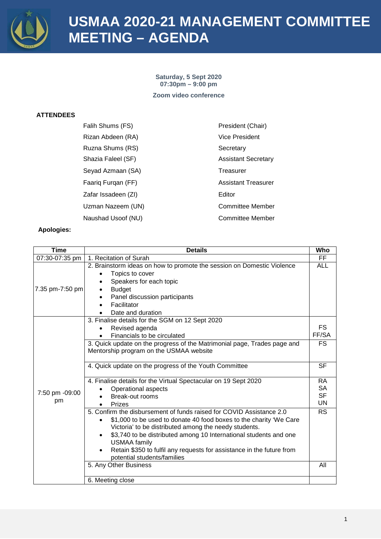

# **USMAA 2020-21 MANAGEMENT COMMITTEE MEETING – AGENDA**

**Saturday, 5 Sept 2020 07:30pm – 9:00 pm Zoom video conference**

### **ATTENDEES**

| Falih Shums (FS)    | President (Chair)          |
|---------------------|----------------------------|
| Rizan Abdeen (RA)   | <b>Vice President</b>      |
| Ruzna Shums (RS)    | Secretary                  |
| Shazia Faleel (SF)  | <b>Assistant Secretary</b> |
| Seyad Azmaan (SA)   | Treasurer                  |
| Faariq Furqan (FF)  | <b>Assistant Treasurer</b> |
| Zafar Issadeen (ZI) | Editor                     |
| Uzman Nazeem (UN)   | Committee Member           |
| Naushad Usoof (NU)  | <b>Committee Member</b>    |

| <b>Time</b>          | <b>Details</b>                                                                                                                                                                                                                                                                                                                                                                                                       | Who                                              |
|----------------------|----------------------------------------------------------------------------------------------------------------------------------------------------------------------------------------------------------------------------------------------------------------------------------------------------------------------------------------------------------------------------------------------------------------------|--------------------------------------------------|
| 07:30-07:35 pm       | 1. Recitation of Surah                                                                                                                                                                                                                                                                                                                                                                                               | FF.                                              |
| 7.35 pm-7:50 pm      | 2. Brainstorm ideas on how to promote the session on Domestic Violence<br>Topics to cover<br>Speakers for each topic<br><b>Budget</b><br>Panel discussion participants<br>Facilitator<br>Date and duration                                                                                                                                                                                                           | <b>ALL</b>                                       |
|                      | 3. Finalise details for the SGM on 12 Sept 2020<br>Revised agenda<br>Financials to be circulated<br>3. Quick update on the progress of the Matrimonial page, Trades page and<br>Mentorship program on the USMAA website                                                                                                                                                                                              | FS<br>FF/SA<br><b>FS</b>                         |
|                      | 4. Quick update on the progress of the Youth Committee                                                                                                                                                                                                                                                                                                                                                               | <b>SF</b>                                        |
| 7:50 pm -09:00<br>pm | 4. Finalise details for the Virtual Spectacular on 19 Sept 2020<br>Operational aspects<br>Break-out rooms<br><b>Prizes</b>                                                                                                                                                                                                                                                                                           | <b>RA</b><br><b>SA</b><br><b>SF</b><br><b>UN</b> |
|                      | 5. Confirm the disbursement of funds raised for COVID Assistance 2.0<br>\$1,000 to be used to donate 40 food boxes to the charity 'We Care<br>Victoria' to be distributed among the needy students.<br>\$3,740 to be distributed among 10 International students and one<br>$\bullet$<br><b>USMAA family</b><br>Retain \$350 to fulfil any requests for assistance in the future from<br>potential students/families | <b>RS</b>                                        |
|                      | 5. Any Other Business                                                                                                                                                                                                                                                                                                                                                                                                | All                                              |
|                      | 6. Meeting close                                                                                                                                                                                                                                                                                                                                                                                                     |                                                  |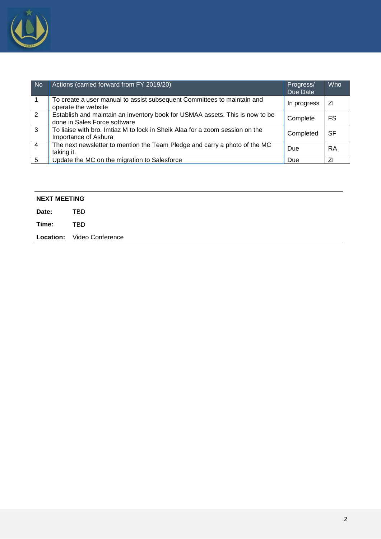

| No             | Actions (carried forward from FY 2019/20)                                                                    | Progress/<br>Due Date | <b>Who</b> |
|----------------|--------------------------------------------------------------------------------------------------------------|-----------------------|------------|
|                | To create a user manual to assist subsequent Committees to maintain and<br>operate the website               | In progress           | ΖI         |
| 2              | Establish and maintain an inventory book for USMAA assets. This is now to be<br>done in Sales Force software | Complete              | <b>FS</b>  |
| 3              | To liaise with bro. Imtiaz M to lock in Sheik Alaa for a zoom session on the<br>Importance of Ashura         | Completed             | <b>SF</b>  |
| $\overline{4}$ | The next newsletter to mention the Team Pledge and carry a photo of the MC<br>taking it.                     | Due                   | RA         |
| 5              | Update the MC on the migration to Salesforce                                                                 | Due                   | ΖI         |

| <b>NEXT MEETING</b> |                                   |
|---------------------|-----------------------------------|
| Date:               | <b>TBD</b>                        |
| Time:               | TBD                               |
|                     | <b>Location:</b> Video Conference |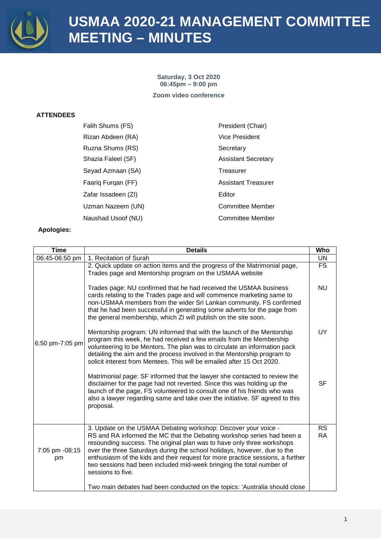

**Saturday, 3 Oct 2020 06:45pm – 9:00 pm Zoom video conference**

### **ATTENDEES**

| Falih Shums (FS)    | President (Chair)          |
|---------------------|----------------------------|
| Rizan Abdeen (RA)   | Vice President             |
| Ruzna Shums (RS)    | Secretary                  |
| Shazia Faleel (SF)  | <b>Assistant Secretary</b> |
| Seyad Azmaan (SA)   | Treasurer                  |
| Faarig Furgan (FF)  | <b>Assistant Treasurer</b> |
| Zafar Issadeen (ZI) | Editor                     |
| Uzman Nazeem (UN)   | <b>Committee Member</b>    |
| Naushad Usoof (NU)  | Committee Member           |

| <b>Time</b>          | <b>Details</b>                                                                                                                                                                                                                                                                                                                                                                                                                                                                 | Who                            |
|----------------------|--------------------------------------------------------------------------------------------------------------------------------------------------------------------------------------------------------------------------------------------------------------------------------------------------------------------------------------------------------------------------------------------------------------------------------------------------------------------------------|--------------------------------|
| 06:45-06:50 pm       | 1. Recitation of Surah                                                                                                                                                                                                                                                                                                                                                                                                                                                         | <b>UN</b>                      |
|                      | 2. Quick update on action items and the progress of the Matrimonial page,<br>Trades page and Mentorship program on the USMAA website<br>Trades page: NU confirmed that he had received the USMAA business                                                                                                                                                                                                                                                                      | $\overline{\mathsf{FS}}$<br>NU |
|                      | cards relating to the Trades page and will commence marketing same to<br>non-USMAA members from the wider Sri Lankan community. FS confirmed<br>that he had been successful in generating some adverts for the page from<br>the general membership, which ZI will publish on the site soon.                                                                                                                                                                                    |                                |
| 6:50 pm-7:05 pm      | Mentorship program: UN informed that with the launch of the Mentorship<br>program this week, he had received a few emails from the Membership<br>volunteering to be Mentors. The plan was to circulate an information pack<br>detailing the aim and the process involved in the Mentorship program to<br>solicit interest from Mentees. This will be emailed after 15 Oct 2020.                                                                                                | <b>UY</b>                      |
|                      | Matrimonial page: SF informed that the lawyer she contacted to review the<br>disclaimer for the page had not reverted. Since this was holding up the<br>launch of the page, FS volunteered to consult one of his friends who was<br>also a lawyer regarding same and take over the initiative. SF agreed to this<br>proposal.                                                                                                                                                  | <b>SF</b>                      |
| 7:05 pm -08:15<br>pm | 3. Update on the USMAA Debating workshop: Discover your voice -<br>RS and RA informed the MC that the Debating workshop series had been a<br>resounding success. The original plan was to have only three workshops<br>over the three Saturdays during the school holidays, however, due to the<br>enthusiasm of the kids and their request for more practice sessions, a further<br>two sessions had been included mid-week bringing the total number of<br>sessions to five. | <b>RS</b><br><b>RA</b>         |
|                      | Two main debates had been conducted on the topics: 'Australia should close                                                                                                                                                                                                                                                                                                                                                                                                     |                                |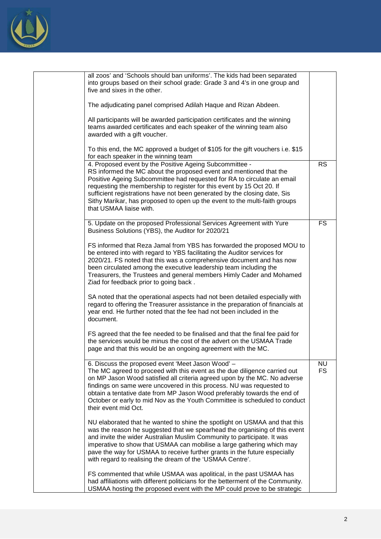

| all zoos' and 'Schools should ban uniforms'. The kids had been separated<br>into groups based on their school grade: Grade 3 and 4's in one group and<br>five and sixes in the other.                                                                                                                                                                                                                                                                                   |                        |
|-------------------------------------------------------------------------------------------------------------------------------------------------------------------------------------------------------------------------------------------------------------------------------------------------------------------------------------------------------------------------------------------------------------------------------------------------------------------------|------------------------|
| The adjudicating panel comprised Adilah Haque and Rizan Abdeen.                                                                                                                                                                                                                                                                                                                                                                                                         |                        |
| All participants will be awarded participation certificates and the winning<br>teams awarded certificates and each speaker of the winning team also<br>awarded with a gift voucher.                                                                                                                                                                                                                                                                                     |                        |
| To this end, the MC approved a budget of \$105 for the gift vouchers i.e. \$15<br>for each speaker in the winning team                                                                                                                                                                                                                                                                                                                                                  |                        |
| 4. Proposed event by the Positive Ageing Subcommittee -<br>RS informed the MC about the proposed event and mentioned that the<br>Positive Ageing Subcommittee had requested for RA to circulate an email<br>requesting the membership to register for this event by 15 Oct 20. If<br>sufficient registrations have not been generated by the closing date, Sis<br>Sithy Marikar, has proposed to open up the event to the multi-faith groups<br>that USMAA liaise with. | <b>RS</b>              |
| 5. Update on the proposed Professional Services Agreement with Yure<br>Business Solutions (YBS), the Auditor for 2020/21                                                                                                                                                                                                                                                                                                                                                | <b>FS</b>              |
| FS informed that Reza Jamal from YBS has forwarded the proposed MOU to<br>be entered into with regard to YBS facilitating the Auditor services for<br>2020/21. FS noted that this was a comprehensive document and has now<br>been circulated among the executive leadership team including the<br>Treasurers, the Trustees and general members Himly Cader and Mohamed<br>Ziad for feedback prior to going back.                                                       |                        |
| SA noted that the operational aspects had not been detailed especially with<br>regard to offering the Treasurer assistance in the preparation of financials at<br>year end. He further noted that the fee had not been included in the<br>document.                                                                                                                                                                                                                     |                        |
| FS agreed that the fee needed to be finalised and that the final fee paid for<br>the services would be minus the cost of the advert on the USMAA Trade<br>page and that this would be an ongoing agreement with the MC.                                                                                                                                                                                                                                                 |                        |
| 6. Discuss the proposed event 'Meet Jason Wood' -<br>The MC agreed to proceed with this event as the due diligence carried out<br>on MP Jason Wood satisfied all criteria agreed upon by the MC. No adverse<br>findings on same were uncovered in this process. NU was requested to<br>obtain a tentative date from MP Jason Wood preferably towards the end of<br>October or early to mid Nov as the Youth Committee is scheduled to conduct<br>their event mid Oct.   | <b>NU</b><br><b>FS</b> |
| NU elaborated that he wanted to shine the spotlight on USMAA and that this<br>was the reason he suggested that we spearhead the organising of this event<br>and invite the wider Australian Muslim Community to participate. It was<br>imperative to show that USMAA can mobilise a large gathering which may<br>pave the way for USMAA to receive further grants in the future especially<br>with regard to realising the dream of the 'USMAA Centre'.                 |                        |
| FS commented that while USMAA was apolitical, in the past USMAA has<br>had affiliations with different politicians for the betterment of the Community.<br>USMAA hosting the proposed event with the MP could prove to be strategic                                                                                                                                                                                                                                     |                        |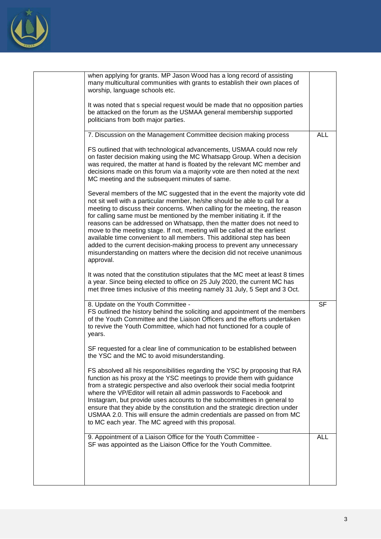

|  | when applying for grants. MP Jason Wood has a long record of assisting<br>many multicultural communities with grants to establish their own places of<br>worship, language schools etc.                                                                                                                                                                                                                                                                                                                                                                                                                                                                                                                                  |            |
|--|--------------------------------------------------------------------------------------------------------------------------------------------------------------------------------------------------------------------------------------------------------------------------------------------------------------------------------------------------------------------------------------------------------------------------------------------------------------------------------------------------------------------------------------------------------------------------------------------------------------------------------------------------------------------------------------------------------------------------|------------|
|  | It was noted that s special request would be made that no opposition parties<br>be attacked on the forum as the USMAA general membership supported<br>politicians from both major parties.                                                                                                                                                                                                                                                                                                                                                                                                                                                                                                                               |            |
|  | 7. Discussion on the Management Committee decision making process                                                                                                                                                                                                                                                                                                                                                                                                                                                                                                                                                                                                                                                        | <b>ALL</b> |
|  | FS outlined that with technological advancements, USMAA could now rely<br>on faster decision making using the MC Whatsapp Group. When a decision<br>was required, the matter at hand is floated by the relevant MC member and<br>decisions made on this forum via a majority vote are then noted at the next<br>MC meeting and the subsequent minutes of same.                                                                                                                                                                                                                                                                                                                                                           |            |
|  | Several members of the MC suggested that in the event the majority vote did<br>not sit well with a particular member, he/she should be able to call for a<br>meeting to discuss their concerns. When calling for the meeting, the reason<br>for calling same must be mentioned by the member initiating it. If the<br>reasons can be addressed on Whatsapp, then the matter does not need to<br>move to the meeting stage. If not, meeting will be called at the earliest<br>available time convenient to all members. This additional step has been<br>added to the current decision-making process to prevent any unnecessary<br>misunderstanding on matters where the decision did not receive unanimous<br>approval. |            |
|  | It was noted that the constitution stipulates that the MC meet at least 8 times<br>a year. Since being elected to office on 25 July 2020, the current MC has<br>met three times inclusive of this meeting namely 31 July, 5 Sept and 3 Oct.                                                                                                                                                                                                                                                                                                                                                                                                                                                                              |            |
|  | 8. Update on the Youth Committee -<br>FS outlined the history behind the soliciting and appointment of the members<br>of the Youth Committee and the Liaison Officers and the efforts undertaken<br>to revive the Youth Committee, which had not functioned for a couple of<br>years.                                                                                                                                                                                                                                                                                                                                                                                                                                    | <b>SF</b>  |
|  | SF requested for a clear line of communication to be established between<br>the YSC and the MC to avoid misunderstanding.                                                                                                                                                                                                                                                                                                                                                                                                                                                                                                                                                                                                |            |
|  | FS absolved all his responsibilities regarding the YSC by proposing that RA<br>function as his proxy at the YSC meetings to provide them with guidance<br>from a strategic perspective and also overlook their social media footprint<br>where the VP/Editor will retain all admin passwords to Facebook and<br>Instagram, but provide uses accounts to the subcommittees in general to<br>ensure that they abide by the constitution and the strategic direction under<br>USMAA 2.0. This will ensure the admin credentials are passed on from MC<br>to MC each year. The MC agreed with this proposal.                                                                                                                 |            |
|  | 9. Appointment of a Liaison Office for the Youth Committee -<br>SF was appointed as the Liaison Office for the Youth Committee.                                                                                                                                                                                                                                                                                                                                                                                                                                                                                                                                                                                          | <b>ALL</b> |
|  |                                                                                                                                                                                                                                                                                                                                                                                                                                                                                                                                                                                                                                                                                                                          |            |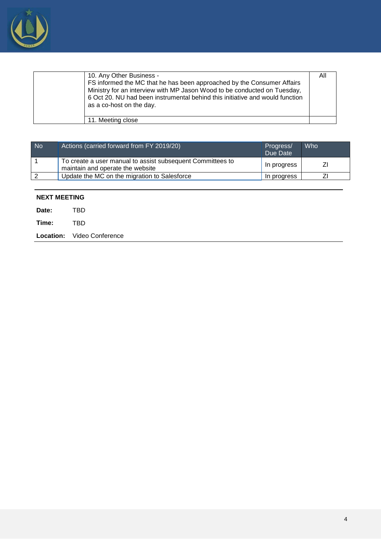

| 10. Any Other Business -<br>FS informed the MC that he has been approached by the Consumer Affairs<br>Ministry for an interview with MP Jason Wood to be conducted on Tuesday,<br>6 Oct 20. NU had been instrumental behind this initiative and would function<br>as a co-host on the day. | All |
|--------------------------------------------------------------------------------------------------------------------------------------------------------------------------------------------------------------------------------------------------------------------------------------------|-----|
| 11. Meeting close                                                                                                                                                                                                                                                                          |     |
|                                                                                                                                                                                                                                                                                            |     |

| <b>No</b> | Actions (carried forward from FY 2019/20)                                                      | Progress/<br>Due Date | Who |
|-----------|------------------------------------------------------------------------------------------------|-----------------------|-----|
|           | To create a user manual to assist subsequent Committees to<br>maintain and operate the website | In progress           |     |
|           | Update the MC on the migration to Salesforce                                                   | In progress           |     |
|           |                                                                                                |                       |     |

### **NEXT MEETING**

| Date: | TRD                               |
|-------|-----------------------------------|
| Time: | TRD                               |
|       | <b>Location:</b> Video Conference |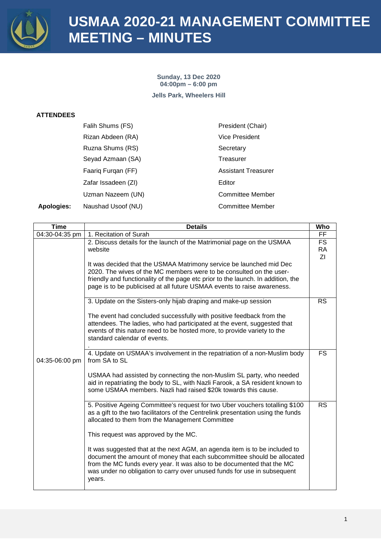

**Sunday, 13 Dec 2020 04:00pm – 6:00 pm Jells Park, Wheelers Hill**

#### **ATTENDEES**

|                   | Falih Shums (FS)    | President (Chair)          |
|-------------------|---------------------|----------------------------|
|                   | Rizan Abdeen (RA)   | <b>Vice President</b>      |
|                   | Ruzna Shums (RS)    | Secretary                  |
|                   | Seyad Azmaan (SA)   | Treasurer                  |
|                   | Faarig Furgan (FF)  | <b>Assistant Treasurer</b> |
|                   | Zafar Issadeen (ZI) | Editor                     |
|                   | Uzman Nazeem (UN)   | <b>Committee Member</b>    |
| <b>Apologies:</b> | Naushad Usoof (NU)  | <b>Committee Member</b>    |

| Time           | <b>Details</b>                                                                                                                                                                                                                                                                                                        | Who                          |
|----------------|-----------------------------------------------------------------------------------------------------------------------------------------------------------------------------------------------------------------------------------------------------------------------------------------------------------------------|------------------------------|
| 04:30-04:35 pm | 1. Recitation of Surah                                                                                                                                                                                                                                                                                                | FF                           |
|                | 2. Discuss details for the launch of the Matrimonial page on the USMAA<br>website<br>It was decided that the USMAA Matrimony service be launched mid Dec                                                                                                                                                              | <b>FS</b><br><b>RA</b><br>ΖI |
|                | 2020. The wives of the MC members were to be consulted on the user-<br>friendly and functionality of the page etc prior to the launch. In addition, the<br>page is to be publicised at all future USMAA events to raise awareness.                                                                                    |                              |
|                | 3. Update on the Sisters-only hijab draping and make-up session                                                                                                                                                                                                                                                       | <b>RS</b>                    |
|                | The event had concluded successfully with positive feedback from the<br>attendees. The ladies, who had participated at the event, suggested that<br>events of this nature need to be hosted more, to provide variety to the<br>standard calendar of events.                                                           |                              |
| 04:35-06:00 pm | 4. Update on USMAA's involvement in the repatriation of a non-Muslim body<br>from SA to SL                                                                                                                                                                                                                            | FS.                          |
|                | USMAA had assisted by connecting the non-Muslim SL party, who needed<br>aid in repatriating the body to SL, with Nazli Farook, a SA resident known to<br>some USMAA members. Nazli had raised \$20k towards this cause.                                                                                               |                              |
|                | 5. Positive Ageing Committee's request for two Uber vouchers totalling \$100<br>as a gift to the two facilitators of the Centrelink presentation using the funds<br>allocated to them from the Management Committee                                                                                                   | <b>RS</b>                    |
|                | This request was approved by the MC.                                                                                                                                                                                                                                                                                  |                              |
|                | It was suggested that at the next AGM, an agenda item is to be included to<br>document the amount of money that each subcommittee should be allocated<br>from the MC funds every year. It was also to be documented that the MC<br>was under no obligation to carry over unused funds for use in subsequent<br>years. |                              |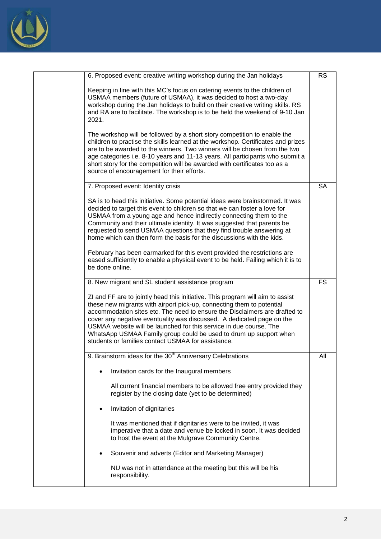

| 6. Proposed event: creative writing workshop during the Jan holidays                                                                                                                                                                                                                                                                                                                                                                                                                                            | <b>RS</b> |
|-----------------------------------------------------------------------------------------------------------------------------------------------------------------------------------------------------------------------------------------------------------------------------------------------------------------------------------------------------------------------------------------------------------------------------------------------------------------------------------------------------------------|-----------|
| Keeping in line with this MC's focus on catering events to the children of<br>USMAA members (future of USMAA), it was decided to host a two-day<br>workshop during the Jan holidays to build on their creative writing skills. RS<br>and RA are to facilitate. The workshop is to be held the weekend of 9-10 Jan<br>2021.                                                                                                                                                                                      |           |
| The workshop will be followed by a short story competition to enable the<br>children to practise the skills learned at the workshop. Certificates and prizes<br>are to be awarded to the winners. Two winners will be chosen from the two<br>age categories i.e. 8-10 years and 11-13 years. All participants who submit a<br>short story for the competition will be awarded with certificates too as a<br>source of encouragement for their efforts.                                                          |           |
| 7. Proposed event: Identity crisis                                                                                                                                                                                                                                                                                                                                                                                                                                                                              | <b>SA</b> |
| SA is to head this initiative. Some potential ideas were brainstormed. It was<br>decided to target this event to children so that we can foster a love for<br>USMAA from a young age and hence indirectly connecting them to the<br>Community and their ultimate identity. It was suggested that parents be<br>requested to send USMAA questions that they find trouble answering at<br>home which can then form the basis for the discussions with the kids.                                                   |           |
| February has been earmarked for this event provided the restrictions are<br>eased sufficiently to enable a physical event to be held. Failing which it is to<br>be done online.                                                                                                                                                                                                                                                                                                                                 |           |
| 8. New migrant and SL student assistance program                                                                                                                                                                                                                                                                                                                                                                                                                                                                | <b>FS</b> |
| ZI and FF are to jointly head this initiative. This program will aim to assist<br>these new migrants with airport pick-up, connecting them to potential<br>accommodation sites etc. The need to ensure the Disclaimers are drafted to<br>cover any negative eventuality was discussed. A dedicated page on the<br>USMAA website will be launched for this service in due course. The<br>WhatsApp USMAA Family group could be used to drum up support when<br>students or families contact USMAA for assistance. |           |
|                                                                                                                                                                                                                                                                                                                                                                                                                                                                                                                 |           |
| 9. Brainstorm ideas for the 30 <sup>th</sup> Anniversary Celebrations                                                                                                                                                                                                                                                                                                                                                                                                                                           | All       |
| Invitation cards for the Inaugural members                                                                                                                                                                                                                                                                                                                                                                                                                                                                      |           |
| All current financial members to be allowed free entry provided they<br>register by the closing date (yet to be determined)                                                                                                                                                                                                                                                                                                                                                                                     |           |
| Invitation of dignitaries<br>$\bullet$                                                                                                                                                                                                                                                                                                                                                                                                                                                                          |           |
| It was mentioned that if dignitaries were to be invited, it was<br>imperative that a date and venue be locked in soon. It was decided<br>to host the event at the Mulgrave Community Centre.                                                                                                                                                                                                                                                                                                                    |           |
| Souvenir and adverts (Editor and Marketing Manager)                                                                                                                                                                                                                                                                                                                                                                                                                                                             |           |
| NU was not in attendance at the meeting but this will be his<br>responsibility.                                                                                                                                                                                                                                                                                                                                                                                                                                 |           |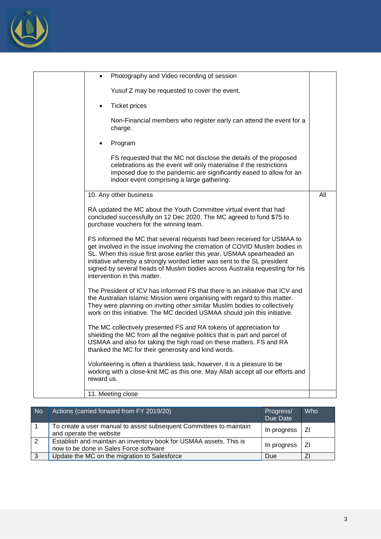

| Photography and Video recording of session                                                                                                                                                                                                                                                                                                                                                                                    |     |
|-------------------------------------------------------------------------------------------------------------------------------------------------------------------------------------------------------------------------------------------------------------------------------------------------------------------------------------------------------------------------------------------------------------------------------|-----|
| Yusuf Z may be requested to cover the event.                                                                                                                                                                                                                                                                                                                                                                                  |     |
| <b>Ticket prices</b>                                                                                                                                                                                                                                                                                                                                                                                                          |     |
| Non-Financial members who register early can attend the event for a<br>charge.                                                                                                                                                                                                                                                                                                                                                |     |
| Program                                                                                                                                                                                                                                                                                                                                                                                                                       |     |
| FS requested that the MC not disclose the details of the proposed<br>celebrations as the event will only materialise if the restrictions<br>imposed due to the pandemic are significantly eased to allow for an<br>indoor event comprising a large gathering.                                                                                                                                                                 |     |
| 10. Any other business                                                                                                                                                                                                                                                                                                                                                                                                        | All |
| RA updated the MC about the Youth Committee virtual event that had<br>concluded successfully on 12 Dec 2020. The MC agreed to fund \$75 to<br>purchase vouchers for the winning team.                                                                                                                                                                                                                                         |     |
| FS informed the MC that several requests had been received for USMAA to<br>get involved in the issue involving the cremation of COVID Muslim bodies in<br>SL. When this issue first arose earlier this year, USMAA spearheaded an<br>initiative whereby a strongly worded letter was sent to the SL president<br>signed by several heads of Muslim bodies across Australia requesting for his<br>intervention in this matter. |     |
| The President of ICV has informed FS that there is an initiative that ICV and<br>the Australian Islamic Mission were organising with regard to this matter.<br>They were planning on inviting other similar Muslim bodies to collectively<br>work on this initiative. The MC decided USMAA should join this initiative.                                                                                                       |     |
| The MC collectively presented FS and RA tokens of appreciation for<br>shielding the MC from all the negative politics that is part and parcel of<br>USMAA and also for taking the high road on these matters. FS and RA<br>thanked the MC for their generosity and kind words.                                                                                                                                                |     |
| Volunteering is often a thankless task, however, it is a pleasure to be<br>working with a close-knit MC as this one. May Allah accept all our efforts and<br>reward us.                                                                                                                                                                                                                                                       |     |
| 11. Meeting close                                                                                                                                                                                                                                                                                                                                                                                                             |     |

| <b>No</b> | Actions (carried forward from FY 2019/20)                                                                    | Progress/<br>Due Date | Who |
|-----------|--------------------------------------------------------------------------------------------------------------|-----------------------|-----|
|           | To create a user manual to assist subsequent Committees to maintain<br>and operate the website               | In progress           | ΖI  |
| 2         | Establish and maintain an inventory book for USMAA assets. This is<br>now to be done in Sales Force software | In progress           | ΖI  |
| -3        | Update the MC on the migration to Salesforce                                                                 | Due                   |     |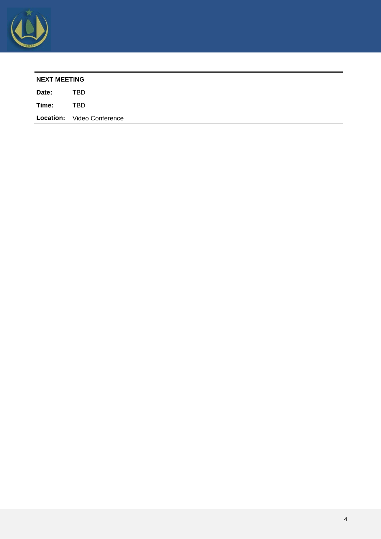

| TBD<br>Date:<br>TBD<br>Time: | <b>NEXT MEETING</b> |  |  |  |
|------------------------------|---------------------|--|--|--|
|                              |                     |  |  |  |
|                              |                     |  |  |  |
| Location: Video Conference   |                     |  |  |  |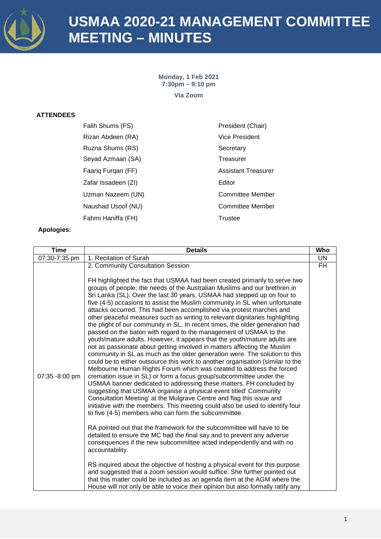

**Monday, 1 Feb 2021 7:30pm – 9:10 pm Via Zoom**

#### **ATTENDEES**

| Falih Shums (FS)    | President (Chair)          |
|---------------------|----------------------------|
| Rizan Abdeen (RA)   | Vice President             |
| Ruzna Shums (RS)    | Secretary                  |
| Seyad Azmaan (SA)   | Treasurer                  |
| Faarig Furgan (FF)  | <b>Assistant Treasurer</b> |
| Zafar Issadeen (ZI) | Editor                     |
| Uzman Nazeem (UN)   | <b>Committee Member</b>    |
| Naushad Usoof (NU)  | <b>Committee Member</b>    |
| Fahmi Haniffa (FH)  | Trustee                    |

| <b>Time</b>    | <b>Details</b>                                                                                                                                                                                                                                                                                                                                                                                                                                                                                                                                                                                                                                                                                                                                                                                                                                                                                                                                                                                                                                                                                                                                                                                                                                                                                                                                                                                                                                                                                                                                                                                                                                                                                                                                                                                                                                                                                                                                                                                                                                                                     | Who       |
|----------------|------------------------------------------------------------------------------------------------------------------------------------------------------------------------------------------------------------------------------------------------------------------------------------------------------------------------------------------------------------------------------------------------------------------------------------------------------------------------------------------------------------------------------------------------------------------------------------------------------------------------------------------------------------------------------------------------------------------------------------------------------------------------------------------------------------------------------------------------------------------------------------------------------------------------------------------------------------------------------------------------------------------------------------------------------------------------------------------------------------------------------------------------------------------------------------------------------------------------------------------------------------------------------------------------------------------------------------------------------------------------------------------------------------------------------------------------------------------------------------------------------------------------------------------------------------------------------------------------------------------------------------------------------------------------------------------------------------------------------------------------------------------------------------------------------------------------------------------------------------------------------------------------------------------------------------------------------------------------------------------------------------------------------------------------------------------------------------|-----------|
| 07:30-7:35 pm  | 1. Recitation of Surah                                                                                                                                                                                                                                                                                                                                                                                                                                                                                                                                                                                                                                                                                                                                                                                                                                                                                                                                                                                                                                                                                                                                                                                                                                                                                                                                                                                                                                                                                                                                                                                                                                                                                                                                                                                                                                                                                                                                                                                                                                                             | <b>UN</b> |
| 07:35 -8:00 pm | 2. Community Consultation Session<br>FH highlighted the fact that USMAA had been created primarily to serve two<br>groups of people: the needs of the Australian Muslims and our brethren in<br>Sri Lanka (SL). Over the last 30 years, USMAA had stepped up on four to<br>five (4-5) occasions to assist the Muslim community in SL when unfortunate<br>attacks occurred. This had been accomplished via protest marches and<br>other peaceful measures such as writing to relevant dignitaries highlighting<br>the plight of our community in SL. In recent times, the older generation had<br>passed on the baton with regard to the management of USMAA to the<br>youth/mature adults. However, it appears that the youth/mature adults are<br>not as passionate about getting involved in matters affecting the Muslim<br>community in SL as much as the older generation were. The solution to this<br>could be to either outsource this work to another organisation (similar to the<br>Melbourne Human Rights Forum which was created to address the forced<br>cremation issue in SL) or form a focus group/subcommittee under the<br>USMAA banner dedicated to addressing these matters. FH concluded by<br>suggesting that USMAA organise a physical event titled' Community<br>Consultation Meeting' at the Mulgrave Centre and flag this issue and<br>initiative with the members. This meeting could also be used to identify four<br>to five (4-5) members who can form the subcommittee.<br>RA pointed out that the framework for the subcommittee will have to be<br>detailed to ensure the MC had the final say and to prevent any adverse<br>consequences if the new subcommittee acted independently and with no<br>accountability.<br>RS inquired about the objective of hosting a physical event for this purpose<br>and suggested that a zoom session would suffice. She further pointed out<br>that this matter could be included as an agenda item at the AGM where the<br>House will not only be able to voice their opinion but also formally ratify any | FH        |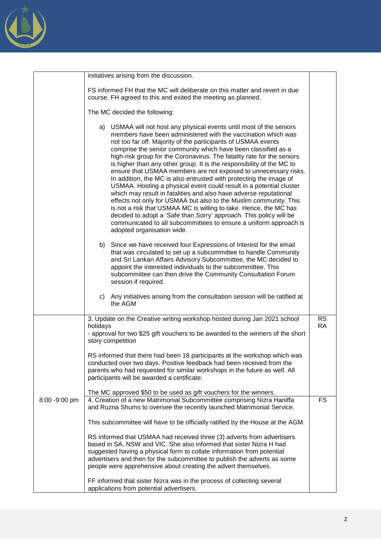

|               | initiatives arising from the discussion.                                                                                                                                                                                                                                                                                                                                                                                                                                                                                                                                                                                                                                                                                                                                                                                                                                                                                                                                                                                           |                        |
|---------------|------------------------------------------------------------------------------------------------------------------------------------------------------------------------------------------------------------------------------------------------------------------------------------------------------------------------------------------------------------------------------------------------------------------------------------------------------------------------------------------------------------------------------------------------------------------------------------------------------------------------------------------------------------------------------------------------------------------------------------------------------------------------------------------------------------------------------------------------------------------------------------------------------------------------------------------------------------------------------------------------------------------------------------|------------------------|
|               | FS informed FH that the MC will deliberate on this matter and revert in due<br>course. FH agreed to this and exited the meeting as planned.                                                                                                                                                                                                                                                                                                                                                                                                                                                                                                                                                                                                                                                                                                                                                                                                                                                                                        |                        |
|               | The MC decided the following:                                                                                                                                                                                                                                                                                                                                                                                                                                                                                                                                                                                                                                                                                                                                                                                                                                                                                                                                                                                                      |                        |
|               | a) USMAA will not host any physical events until most of the seniors<br>members have been administered with the vaccination which was<br>not too far off. Majority of the participants of USMAA events<br>comprise the senior community which have been classified as a<br>high-risk group for the Coronavirus. The fatality rate for the seniors<br>is higher than any other group. It is the responsibility of the MC to<br>ensure that USMAA members are not exposed to unnecessary risks.<br>In addition, the MC is also entrusted with protecting the image of<br>USMAA. Hosting a physical event could result in a potential cluster<br>which may result in fatalities and also have adverse reputational<br>effects not only for USMAA but also to the Muslim community. This<br>is not a risk that USMAA MC is willing to take. Hence, the MC has<br>decided to adopt a 'Safe than Sorry' approach. This policy will be<br>communicated to all subcommittees to ensure a uniform approach is<br>adopted organisation wide. |                        |
|               | b) Since we have received four Expressions of Interest for the email<br>that was circulated to set up a subcommittee to handle Community<br>and Sri Lankan Affairs Advisory Subcommittee, the MC decided to<br>appoint the interested individuals to the subcommittee. This<br>subcommittee can then drive the Community Consultation Forum<br>session if required.                                                                                                                                                                                                                                                                                                                                                                                                                                                                                                                                                                                                                                                                |                        |
|               | c) Any initiatives arising from the consultation session will be ratified at<br>the AGM                                                                                                                                                                                                                                                                                                                                                                                                                                                                                                                                                                                                                                                                                                                                                                                                                                                                                                                                            |                        |
|               | 3. Update on the Creative writing workshop hosted during Jan 2021 school<br>holidays<br>- approval for two \$25 gift vouchers to be awarded to the winners of the short<br>story competition                                                                                                                                                                                                                                                                                                                                                                                                                                                                                                                                                                                                                                                                                                                                                                                                                                       | <b>RS</b><br><b>RA</b> |
|               | RS informed that there had been 18 participants at the workshop which was<br>conducted over two days. Positive feedback had been received from the<br>parents who had requested for similar workshops in the future as well. All<br>participants will be awarded a certificate.                                                                                                                                                                                                                                                                                                                                                                                                                                                                                                                                                                                                                                                                                                                                                    |                        |
|               | The MC approved \$50 to be used as gift vouchers for the winners.                                                                                                                                                                                                                                                                                                                                                                                                                                                                                                                                                                                                                                                                                                                                                                                                                                                                                                                                                                  |                        |
| 8:00 -9:00 pm | 4. Creation of a new Matrimonial Subcommittee comprising Nizra Haniffa<br>and Ruzna Shums to oversee the recently launched Matrimonial Service.                                                                                                                                                                                                                                                                                                                                                                                                                                                                                                                                                                                                                                                                                                                                                                                                                                                                                    | <b>FS</b>              |
|               | This subcommittee will have to be officially ratified by the House at the AGM.                                                                                                                                                                                                                                                                                                                                                                                                                                                                                                                                                                                                                                                                                                                                                                                                                                                                                                                                                     |                        |
|               | RS informed that USMAA had received three (3) adverts from advertisers<br>based in SA, NSW and VIC. She also informed that sister Nizra H had<br>suggested having a physical form to collate information from potential<br>advertisers and then for the subcommittee to publish the adverts as some                                                                                                                                                                                                                                                                                                                                                                                                                                                                                                                                                                                                                                                                                                                                |                        |
|               | people were apprehensive about creating the advert themselves.<br>FF informed that sister Nizra was in the process of collecting several                                                                                                                                                                                                                                                                                                                                                                                                                                                                                                                                                                                                                                                                                                                                                                                                                                                                                           |                        |
|               | applications from potential advertisers.                                                                                                                                                                                                                                                                                                                                                                                                                                                                                                                                                                                                                                                                                                                                                                                                                                                                                                                                                                                           |                        |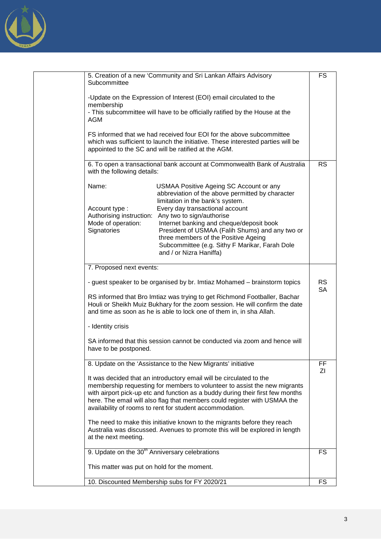

| Subcommittee                                               | 5. Creation of a new 'Community and Sri Lankan Affairs Advisory                                                                                                                                                                                                                                                                                                             | <b>FS</b>              |
|------------------------------------------------------------|-----------------------------------------------------------------------------------------------------------------------------------------------------------------------------------------------------------------------------------------------------------------------------------------------------------------------------------------------------------------------------|------------------------|
| membership                                                 | -Update on the Expression of Interest (EOI) email circulated to the                                                                                                                                                                                                                                                                                                         |                        |
| AGM                                                        | - This subcommittee will have to be officially ratified by the House at the                                                                                                                                                                                                                                                                                                 |                        |
|                                                            | FS informed that we had received four EOI for the above subcommittee<br>which was sufficient to launch the initiative. These interested parties will be<br>appointed to the SC and will be ratified at the AGM.                                                                                                                                                             |                        |
| with the following details:                                | 6. To open a transactional bank account at Commonwealth Bank of Australia                                                                                                                                                                                                                                                                                                   | <b>RS</b>              |
| Name:                                                      | USMAA Positive Ageing SC Account or any<br>abbreviation of the above permitted by character<br>limitation in the bank's system.                                                                                                                                                                                                                                             |                        |
| Account type:<br>Authorising instruction:                  | Every day transactional account                                                                                                                                                                                                                                                                                                                                             |                        |
| Mode of operation:                                         | Any two to sign/authorise<br>Internet banking and cheque/deposit book                                                                                                                                                                                                                                                                                                       |                        |
| Signatories                                                | President of USMAA (Falih Shums) and any two or<br>three members of the Positive Ageing                                                                                                                                                                                                                                                                                     |                        |
|                                                            | Subcommittee (e.g. Sithy F Marikar, Farah Dole                                                                                                                                                                                                                                                                                                                              |                        |
|                                                            | and / or Nizra Haniffa)                                                                                                                                                                                                                                                                                                                                                     |                        |
| 7. Proposed next events:                                   |                                                                                                                                                                                                                                                                                                                                                                             |                        |
|                                                            | - guest speaker to be organised by br. Imtiaz Mohamed – brainstorm topics                                                                                                                                                                                                                                                                                                   | <b>RS</b><br><b>SA</b> |
|                                                            | RS informed that Bro Imtiaz was trying to get Richmond Footballer, Bachar<br>Houli or Sheikh Muiz Bukhary for the zoom session. He will confirm the date<br>and time as soon as he is able to lock one of them in, in sha Allah.                                                                                                                                            |                        |
| - Identity crisis                                          |                                                                                                                                                                                                                                                                                                                                                                             |                        |
| have to be postponed.                                      | SA informed that this session cannot be conducted via zoom and hence will                                                                                                                                                                                                                                                                                                   |                        |
|                                                            | 8. Update on the 'Assistance to the New Migrants' initiative                                                                                                                                                                                                                                                                                                                | FF<br>ΖI               |
|                                                            | It was decided that an introductory email will be circulated to the<br>membership requesting for members to volunteer to assist the new migrants<br>with airport pick-up etc and function as a buddy during their first few months<br>here. The email will also flag that members could register with USMAA the<br>availability of rooms to rent for student accommodation. |                        |
| at the next meeting.                                       | The need to make this initiative known to the migrants before they reach<br>Australia was discussed. Avenues to promote this will be explored in length                                                                                                                                                                                                                     |                        |
| 9. Update on the 30 <sup>th</sup> Anniversary celebrations |                                                                                                                                                                                                                                                                                                                                                                             | FS                     |
| This matter was put on hold for the moment.                |                                                                                                                                                                                                                                                                                                                                                                             |                        |
|                                                            | 10. Discounted Membership subs for FY 2020/21                                                                                                                                                                                                                                                                                                                               | <b>FS</b>              |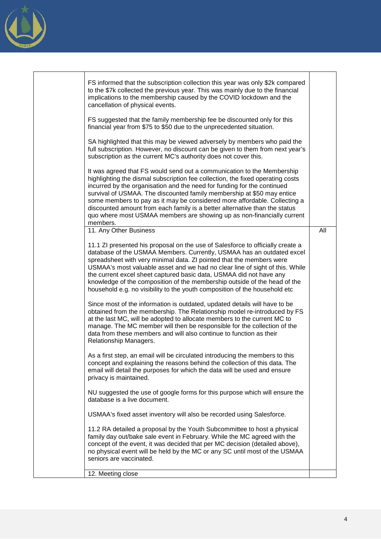

| FS informed that the subscription collection this year was only \$2k compared<br>to the \$7k collected the previous year. This was mainly due to the financial<br>implications to the membership caused by the COVID lockdown and the<br>cancellation of physical events.<br>FS suggested that the family membership fee be discounted only for this<br>financial year from \$75 to \$50 due to the unprecedented situation.                                                                                                                                   |     |
|----------------------------------------------------------------------------------------------------------------------------------------------------------------------------------------------------------------------------------------------------------------------------------------------------------------------------------------------------------------------------------------------------------------------------------------------------------------------------------------------------------------------------------------------------------------|-----|
| SA highlighted that this may be viewed adversely by members who paid the<br>full subscription. However, no discount can be given to them from next year's<br>subscription as the current MC's authority does not cover this.                                                                                                                                                                                                                                                                                                                                   |     |
| It was agreed that FS would send out a communication to the Membership<br>highlighting the dismal subscription fee collection, the fixed operating costs<br>incurred by the organisation and the need for funding for the continued<br>survival of USMAA. The discounted family membership at \$50 may entice<br>some members to pay as it may be considered more affordable. Collecting a<br>discounted amount from each family is a better alternative than the status<br>quo where most USMAA members are showing up as non-financially current<br>members. |     |
| 11. Any Other Business                                                                                                                                                                                                                                                                                                                                                                                                                                                                                                                                         | All |
| 11.1 ZI presented his proposal on the use of Salesforce to officially create a<br>database of the USMAA Members. Currently, USMAA has an outdated excel<br>spreadsheet with very minimal data. ZI pointed that the members were<br>USMAA's most valuable asset and we had no clear line of sight of this. While<br>the current excel sheet captured basic data, USMAA did not have any<br>knowledge of the composition of the membership outside of the head of the<br>household e.g. no visibility to the youth composition of the household etc              |     |
| Since most of the information is outdated, updated details will have to be<br>obtained from the membership. The Relationship model re-introduced by FS<br>at the last MC, will be adopted to allocate members to the current MC to<br>manage. The MC member will then be responsible for the collection of the<br>data from these members and will also continue to function as their<br>Relationship Managers.                                                                                                                                                |     |
| As a first step, an email will be circulated introducing the members to this<br>concept and explaining the reasons behind the collection of this data. The<br>email will detail the purposes for which the data will be used and ensure<br>privacy is maintained.                                                                                                                                                                                                                                                                                              |     |
| NU suggested the use of google forms for this purpose which will ensure the<br>database is a live document.                                                                                                                                                                                                                                                                                                                                                                                                                                                    |     |
| USMAA's fixed asset inventory will also be recorded using Salesforce.                                                                                                                                                                                                                                                                                                                                                                                                                                                                                          |     |
| 11.2 RA detailed a proposal by the Youth Subcommittee to host a physical<br>family day out/bake sale event in February. While the MC agreed with the<br>concept of the event, it was decided that per MC decision (detailed above),<br>no physical event will be held by the MC or any SC until most of the USMAA<br>seniors are vaccinated.                                                                                                                                                                                                                   |     |
| 12. Meeting close                                                                                                                                                                                                                                                                                                                                                                                                                                                                                                                                              |     |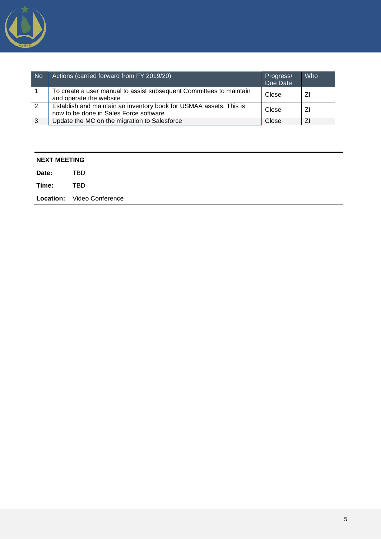

| <b>No</b>    | Actions (carried forward from FY 2019/20)                                                                    | Progress/<br>Due Date | Who |
|--------------|--------------------------------------------------------------------------------------------------------------|-----------------------|-----|
|              | To create a user manual to assist subsequent Committees to maintain<br>and operate the website               | Close                 | ΖI  |
| 2            | Establish and maintain an inventory book for USMAA assets. This is<br>now to be done in Sales Force software | Close                 | ΖI  |
| $\mathbf{3}$ | Update the MC on the migration to Salesforce                                                                 | Close                 |     |

| <b>NEXT MEETING</b> |                                   |  |
|---------------------|-----------------------------------|--|
| Date:               | <b>TBD</b>                        |  |
| Time:               | TBD                               |  |
|                     | <b>Location:</b> Video Conference |  |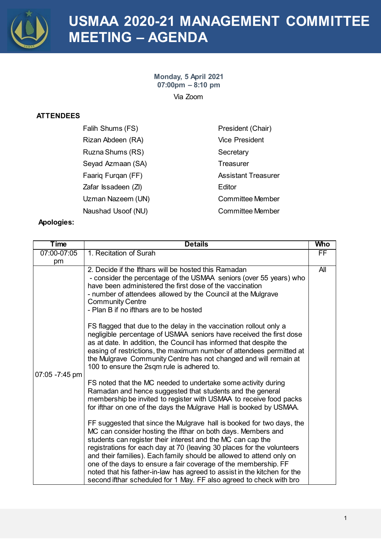

# **USMAA 2020-21 MANAGEMENT COMMITTEE MEETING – AGENDA**

**Monday, 5 April 2021 07:00pm – 8:10 pm** Via Zoom

### **ATTENDEES**

| Falih Shums (FS)    | President (Chair)          |
|---------------------|----------------------------|
| Rizan Abdeen (RA)   | <b>Vice President</b>      |
| Ruzna Shums (RS)    | Secretary                  |
| Seyad Azmaan (SA)   | Treasurer                  |
| Faarig Furgan (FF)  | <b>Assistant Treasurer</b> |
| Zafar Issadeen (ZI) | Editor                     |
| Uzman Nazeem (UN)   | Committee Member           |
| Naushad Usoof (NU)  | <b>Committee Member</b>    |

| <b>Time</b>    | <b>Details</b>                                                                                                                                                                                                                                                                                                                                                                                                                                                                                                                                                                                                                                                                                                                                                                                                                                                                                                                                                                                                                                                                                                                                                                                                                                                                                                                                                                                                                                                                                                                | <b>Who</b> |
|----------------|-------------------------------------------------------------------------------------------------------------------------------------------------------------------------------------------------------------------------------------------------------------------------------------------------------------------------------------------------------------------------------------------------------------------------------------------------------------------------------------------------------------------------------------------------------------------------------------------------------------------------------------------------------------------------------------------------------------------------------------------------------------------------------------------------------------------------------------------------------------------------------------------------------------------------------------------------------------------------------------------------------------------------------------------------------------------------------------------------------------------------------------------------------------------------------------------------------------------------------------------------------------------------------------------------------------------------------------------------------------------------------------------------------------------------------------------------------------------------------------------------------------------------------|------------|
| 07:00-07:05    | 1. Recitation of Surah                                                                                                                                                                                                                                                                                                                                                                                                                                                                                                                                                                                                                                                                                                                                                                                                                                                                                                                                                                                                                                                                                                                                                                                                                                                                                                                                                                                                                                                                                                        | <b>FF</b>  |
| pm             |                                                                                                                                                                                                                                                                                                                                                                                                                                                                                                                                                                                                                                                                                                                                                                                                                                                                                                                                                                                                                                                                                                                                                                                                                                                                                                                                                                                                                                                                                                                               |            |
| 07:05 -7:45 pm | 2. Decide if the lfthars will be hosted this Ramadan<br>- consider the percentage of the USMAA seniors (over 55 years) who<br>have been administered the first dose of the vaccination<br>- number of attendees allowed by the Council at the Mulgrave<br><b>Community Centre</b><br>- Plan B if no ifthars are to be hosted<br>FS flagged that due to the delay in the vaccination rollout only a<br>negligible percentage of USMAA seniors have received the first dose<br>as at date. In addition, the Council has informed that despite the<br>easing of restrictions, the maximum number of attendees permitted at<br>the Mulgrave Community Centre has not changed and will remain at<br>100 to ensure the 2sqm rule is adhered to.<br>FS noted that the MC needed to undertake some activity during<br>Ramadan and hence suggested that students and the general<br>membership be invited to register with USMAA to receive food packs<br>for ifthar on one of the days the Mulgrave Hall is booked by USMAA.<br>FF suggested that since the Mulgrave hall is booked for two days, the<br>MC can consider hosting the ifthar on both days. Members and<br>students can register their interest and the MC can cap the<br>registrations for each day at 70 (leaving 30 places for the volunteers<br>and their families). Each family should be allowed to attend only on<br>one of the days to ensure a fair coverage of the membership. FF<br>noted that his father-in-law has agreed to assist in the kitchen for the | All        |
|                | second ifthar scheduled for 1 May. FF also agreed to check with bro                                                                                                                                                                                                                                                                                                                                                                                                                                                                                                                                                                                                                                                                                                                                                                                                                                                                                                                                                                                                                                                                                                                                                                                                                                                                                                                                                                                                                                                           |            |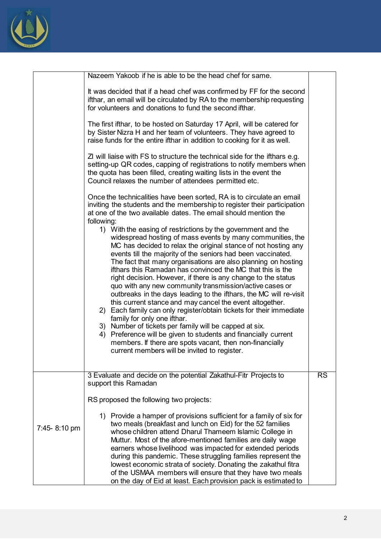

|              | Nazeem Yakoob if he is able to be the head chef for same.                                                                                                                                                                                                                                                                                                                                                                                                                                                                                                                                     |           |
|--------------|-----------------------------------------------------------------------------------------------------------------------------------------------------------------------------------------------------------------------------------------------------------------------------------------------------------------------------------------------------------------------------------------------------------------------------------------------------------------------------------------------------------------------------------------------------------------------------------------------|-----------|
|              | It was decided that if a head chef was confirmed by FF for the second<br>ifthar, an email will be circulated by RA to the membership requesting<br>for volunteers and donations to fund the second if thar.                                                                                                                                                                                                                                                                                                                                                                                   |           |
|              | The first if thar, to be hosted on Saturday 17 April, will be catered for<br>by Sister Nizra H and her team of volunteers. They have agreed to<br>raise funds for the entire ifthar in addition to cooking for it as well.                                                                                                                                                                                                                                                                                                                                                                    |           |
|              | Z will liaise with FS to structure the technical side for the ifthars e.g.<br>setting-up QR codes, capping of registrations to notify members when<br>the quota has been filled, creating waiting lists in the event the<br>Council relaxes the number of attendees permitted etc.                                                                                                                                                                                                                                                                                                            |           |
|              | Once the technicalities have been sorted, RA is to circulate an email<br>inviting the students and the membership to register their participation<br>at one of the two available dates. The email should mention the<br>following:                                                                                                                                                                                                                                                                                                                                                            |           |
|              | 1) With the easing of restrictions by the government and the<br>widespread hosting of mass events by many communities, the<br>MC has decided to relax the original stance of not hosting any<br>events till the majority of the seniors had been vaccinated.<br>The fact that many organisations are also planning on hosting<br>ifthars this Ramadan has convinced the MC that this is the<br>right decision. However, if there is any change to the status<br>quo with any new community transmission/active cases or                                                                       |           |
|              | outbreaks in the days leading to the ifthars, the MC will re-visit<br>this current stance and may cancel the event altogether.<br>2) Each family can only register/obtain tickets for their immediate<br>family for only one ifthar.<br>3) Number of tickets per family will be capped at six.<br>4) Preference will be given to students and financially current<br>members. If there are spots vacant, then non-financially<br>current members will be invited to register.                                                                                                                 |           |
|              | 3 Evaluate and decide on the potential Zakathul-Fitr Projects to<br>support this Ramadan                                                                                                                                                                                                                                                                                                                                                                                                                                                                                                      | <b>RS</b> |
|              | RS proposed the following two projects:                                                                                                                                                                                                                                                                                                                                                                                                                                                                                                                                                       |           |
| 7:45-8:10 pm | 1) Provide a hamper of provisions sufficient for a family of six for<br>two meals (breakfast and lunch on Eid) for the 52 families<br>whose children attend Dharul Thameem Islamic College in<br>Muttur. Most of the afore-mentioned families are daily wage<br>earners whose livelihood was impacted for extended periods<br>during this pandemic. These struggling families represent the<br>lowest economic strata of society. Donating the zakathul fitra<br>of the USMAA members will ensure that they have two meals<br>on the day of Eid at least. Each provision pack is estimated to |           |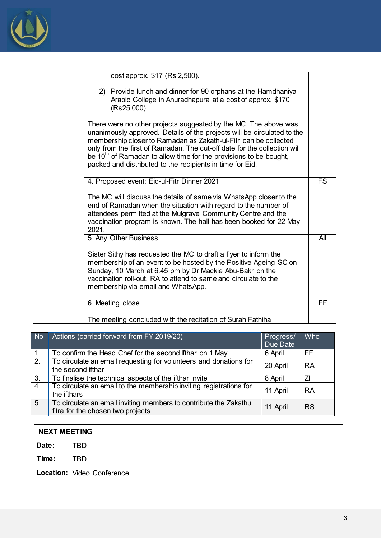

| cost approx. \$17 (Rs 2,500).                                                                                                                                                                                                                                                                                                                                                                                                 |           |
|-------------------------------------------------------------------------------------------------------------------------------------------------------------------------------------------------------------------------------------------------------------------------------------------------------------------------------------------------------------------------------------------------------------------------------|-----------|
| 2) Provide lunch and dinner for 90 orphans at the Hamdhaniya<br>Arabic College in Anuradhapura at a cost of approx. \$170<br>$(Rs25,000)$ .                                                                                                                                                                                                                                                                                   |           |
| There were no other projects suggested by the MC. The above was<br>unanimously approved. Details of the projects will be circulated to the<br>membership closer to Ramadan as Zakath-ul-Fitr can be collected<br>only from the first of Ramadan. The cut-off date for the collection will<br>be $10th$ of Ramadan to allow time for the provisions to be bought,<br>packed and distributed to the recipients in time for Eid. |           |
| 4. Proposed event: Eid-ul-Fitr Dinner 2021                                                                                                                                                                                                                                                                                                                                                                                    | <b>FS</b> |
| The MC will discuss the details of same via WhatsApp closer to the<br>end of Ramadan when the situation with regard to the number of<br>attendees permitted at the Mulgrave Community Centre and the<br>vaccination program is known. The hall has been booked for 22 May<br>2021.                                                                                                                                            |           |
| 5. Any Other Business                                                                                                                                                                                                                                                                                                                                                                                                         | All       |
| Sister Sithy has requested the MC to draft a flyer to inform the<br>membership of an event to be hosted by the Positive Ageing SC on<br>Sunday, 10 March at 6.45 pm by Dr Mackie Abu-Bakr on the<br>vaccination roll-out. RA to attend to same and circulate to the<br>membership via email and WhatsApp.                                                                                                                     |           |
| 6. Meeting close                                                                                                                                                                                                                                                                                                                                                                                                              | FF        |
| The meeting concluded with the recitation of Surah Fathiha                                                                                                                                                                                                                                                                                                                                                                    |           |

| <b>No</b>        | Actions (carried forward from FY 2019/20)                                                              | Progress/<br>Due Date | Who       |
|------------------|--------------------------------------------------------------------------------------------------------|-----------------------|-----------|
| -1               | To confirm the Head Chef for the second lithar on 1 May                                                | 6 April               | FF        |
| $\overline{2}$ . | To circulate an email requesting for volunteers and donations for<br>the second ifthar                 | 20 April              | <b>RA</b> |
| 3.               | To finalise the technical aspects of the ifthar invite                                                 | 8 April               | 71        |
| $\overline{4}$   | To circulate an email to the membership inviting registrations for<br>the ifthars                      | 11 April              | <b>RA</b> |
| $\overline{5}$   | To circulate an email inviting members to contribute the Zakathul<br>fitra for the chosen two projects | 11 April              | <b>RS</b> |

### **NEXT MEETING**

**Date:** TBD

**Time:** TBD

**Location:** Video Conference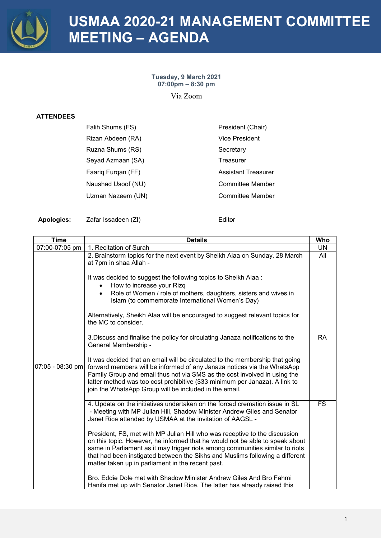

## **USMAA 2020-21 MANAGEMENT COMMITTEE MEETING – AGENDA**

### **Tuesday, 9 March 2021 07:00pm – 8:30 pm**

Via Zoom

### **ATTENDEES**

| Falih Shums (FS)   | President (Chair)          |
|--------------------|----------------------------|
| Rizan Abdeen (RA)  | <b>Vice President</b>      |
| Ruzna Shums (RS)   | Secretary                  |
| Seyad Azmaan (SA)  | Treasurer                  |
| Faarig Furgan (FF) | <b>Assistant Treasurer</b> |
| Naushad Usoof (NU) | <b>Committee Member</b>    |
| Uzman Nazeem (UN)  | <b>Committee Member</b>    |
|                    |                            |

Apologies: Zafar Issadeen (ZI) **Editor** Editor

| <b>Time</b>        | <b>Details</b>                                                                                                                                                                                                                                                                                                                                                                   | Who       |
|--------------------|----------------------------------------------------------------------------------------------------------------------------------------------------------------------------------------------------------------------------------------------------------------------------------------------------------------------------------------------------------------------------------|-----------|
| 07:00-07:05 pm     | 1. Recitation of Surah                                                                                                                                                                                                                                                                                                                                                           | <b>UN</b> |
|                    | 2. Brainstorm topics for the next event by Sheikh Alaa on Sunday, 28 March<br>at 7pm in shaa Allah -                                                                                                                                                                                                                                                                             | All       |
|                    | It was decided to suggest the following topics to Sheikh Alaa :<br>How to increase your Rizg                                                                                                                                                                                                                                                                                     |           |
|                    | Role of Women / role of mothers, daughters, sisters and wives in<br>Islam (to commemorate International Women's Day)                                                                                                                                                                                                                                                             |           |
|                    | Alternatively, Sheikh Alaa will be encouraged to suggest relevant topics for<br>the MC to consider.                                                                                                                                                                                                                                                                              |           |
|                    | 3. Discuss and finalise the policy for circulating Janaza notifications to the<br>General Membership -                                                                                                                                                                                                                                                                           | <b>RA</b> |
| $07:05 - 08:30$ pm | It was decided that an email will be circulated to the membership that going<br>forward members will be informed of any Janaza notices via the WhatsApp<br>Family Group and email thus not via SMS as the cost involved in using the<br>latter method was too cost prohibitive (\$33 minimum per Janaza). A link to<br>join the WhatsApp Group will be included in the email.    |           |
|                    | 4. Update on the initiatives undertaken on the forced cremation issue in SL<br>- Meeting with MP Julian Hill, Shadow Minister Andrew Giles and Senator<br>Janet Rice attended by USMAA at the invitation of AAGSL -                                                                                                                                                              | <b>FS</b> |
|                    | President, FS, met with MP Julian Hill who was receptive to the discussion<br>on this topic. However, he informed that he would not be able to speak about<br>same in Parliament as it may trigger riots among communities similar to riots<br>that had been instigated between the Sikhs and Muslims following a different<br>matter taken up in parliament in the recent past. |           |
|                    | Bro. Eddie Dole met with Shadow Minister Andrew Giles And Bro Fahmi<br>Hanifa met up with Senator Janet Rice. The latter has already raised this                                                                                                                                                                                                                                 |           |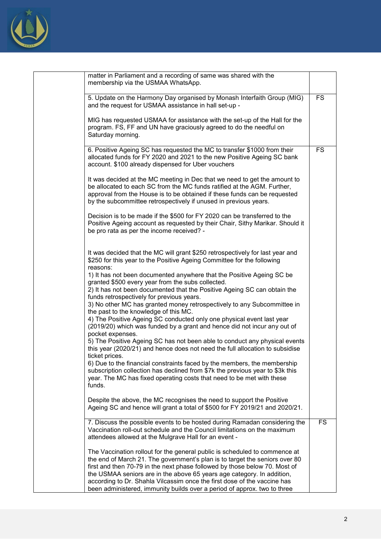

| matter in Parliament and a recording of same was shared with the<br>membership via the USMAA WhatsApp.                                                                                                                                                                                                                                                                                                                                                                    |           |
|---------------------------------------------------------------------------------------------------------------------------------------------------------------------------------------------------------------------------------------------------------------------------------------------------------------------------------------------------------------------------------------------------------------------------------------------------------------------------|-----------|
| 5. Update on the Harmony Day organised by Monash Interfaith Group (MIG)<br>and the request for USMAA assistance in hall set-up -                                                                                                                                                                                                                                                                                                                                          | <b>FS</b> |
| MIG has requested USMAA for assistance with the set-up of the Hall for the<br>program. FS, FF and UN have graciously agreed to do the needful on<br>Saturday morning.                                                                                                                                                                                                                                                                                                     |           |
| 6. Positive Ageing SC has requested the MC to transfer \$1000 from their<br>allocated funds for FY 2020 and 2021 to the new Positive Ageing SC bank<br>account. \$100 already dispensed for Uber vouchers                                                                                                                                                                                                                                                                 | <b>FS</b> |
| It was decided at the MC meeting in Dec that we need to get the amount to<br>be allocated to each SC from the MC funds ratified at the AGM. Further,<br>approval from the House is to be obtained if these funds can be requested<br>by the subcommittee retrospectively if unused in previous years.                                                                                                                                                                     |           |
| Decision is to be made if the \$500 for FY 2020 can be transferred to the<br>Positive Ageing account as requested by their Chair, Sithy Marikar. Should it<br>be pro rata as per the income received? -                                                                                                                                                                                                                                                                   |           |
| It was decided that the MC will grant \$250 retrospectively for last year and<br>\$250 for this year to the Positive Ageing Committee for the following<br>reasons:                                                                                                                                                                                                                                                                                                       |           |
| 1) It has not been documented anywhere that the Positive Ageing SC be<br>granted \$500 every year from the subs collected.<br>2) It has not been documented that the Positive Ageing SC can obtain the<br>funds retrospectively for previous years.                                                                                                                                                                                                                       |           |
| 3) No other MC has granted money retrospectively to any Subcommittee in<br>the past to the knowledge of this MC.<br>4) The Positive Ageing SC conducted only one physical event last year                                                                                                                                                                                                                                                                                 |           |
| (2019/20) which was funded by a grant and hence did not incur any out of<br>pocket expenses.<br>5) The Positive Ageing SC has not been able to conduct any physical events<br>this year (2020/21) and hence does not need the full allocation to subsidise                                                                                                                                                                                                                |           |
| ticket prices.<br>6) Due to the financial constraints faced by the members, the membership<br>subscription collection has declined from \$7k the previous year to \$3k this<br>year. The MC has fixed operating costs that need to be met with these<br>funds.                                                                                                                                                                                                            |           |
| Despite the above, the MC recognises the need to support the Positive<br>Ageing SC and hence will grant a total of \$500 for FY 2019/21 and 2020/21.                                                                                                                                                                                                                                                                                                                      |           |
| 7. Discuss the possible events to be hosted during Ramadan considering the<br>Vaccination roll-out schedule and the Council limitations on the maximum<br>attendees allowed at the Mulgrave Hall for an event -                                                                                                                                                                                                                                                           | <b>FS</b> |
| The Vaccination rollout for the general public is scheduled to commence at<br>the end of March 21. The government's plan is to target the seniors over 80<br>first and then 70-79 in the next phase followed by those below 70. Most of<br>the USMAA seniors are in the above 65 years age category. In addition,<br>according to Dr. Shahla Vilcassim once the first dose of the vaccine has<br>been administered, immunity builds over a period of approx. two to three |           |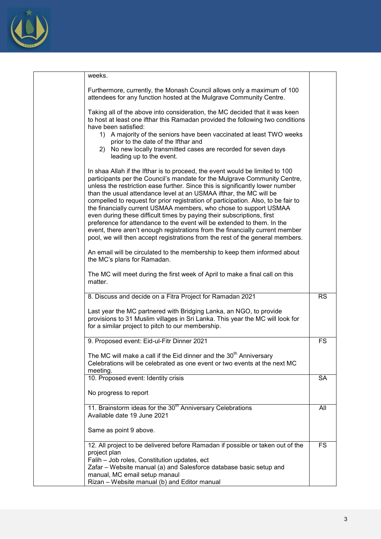

| weeks.                                                                                                                                                                                                                                                                                                                                                                                                                                                                                                                                                                                                                                                                                                                                                                                           |           |
|--------------------------------------------------------------------------------------------------------------------------------------------------------------------------------------------------------------------------------------------------------------------------------------------------------------------------------------------------------------------------------------------------------------------------------------------------------------------------------------------------------------------------------------------------------------------------------------------------------------------------------------------------------------------------------------------------------------------------------------------------------------------------------------------------|-----------|
| Furthermore, currently, the Monash Council allows only a maximum of 100<br>attendees for any function hosted at the Mulgrave Community Centre.                                                                                                                                                                                                                                                                                                                                                                                                                                                                                                                                                                                                                                                   |           |
| Taking all of the above into consideration, the MC decided that it was keen<br>to host at least one ifthar this Ramadan provided the following two conditions<br>have been satisfied:                                                                                                                                                                                                                                                                                                                                                                                                                                                                                                                                                                                                            |           |
| 1) A majority of the seniors have been vaccinated at least TWO weeks<br>prior to the date of the Ifthar and<br>No new locally transmitted cases are recorded for seven days<br>2)<br>leading up to the event.                                                                                                                                                                                                                                                                                                                                                                                                                                                                                                                                                                                    |           |
| In shaa Allah if the Ifthar is to proceed, the event would be limited to 100<br>participants per the Council's mandate for the Mulgrave Community Centre,<br>unless the restriction ease further. Since this is significantly lower number<br>than the usual attendance level at an USMAA ifthar, the MC will be<br>compelled to request for prior registration of participation. Also, to be fair to<br>the financially current USMAA members, who chose to support USMAA<br>even during these difficult times by paying their subscriptions, first<br>preference for attendance to the event will be extended to them. In the<br>event, there aren't enough registrations from the financially current member<br>pool, we will then accept registrations from the rest of the general members. |           |
| An email will be circulated to the membership to keep them informed about<br>the MC's plans for Ramadan.                                                                                                                                                                                                                                                                                                                                                                                                                                                                                                                                                                                                                                                                                         |           |
| The MC will meet during the first week of April to make a final call on this<br>matter.                                                                                                                                                                                                                                                                                                                                                                                                                                                                                                                                                                                                                                                                                                          |           |
| 8. Discuss and decide on a Fitra Project for Ramadan 2021                                                                                                                                                                                                                                                                                                                                                                                                                                                                                                                                                                                                                                                                                                                                        | <b>RS</b> |
| Last year the MC partnered with Bridging Lanka, an NGO, to provide<br>provisions to 31 Muslim villages in Sri Lanka. This year the MC will look for<br>for a similar project to pitch to our membership.                                                                                                                                                                                                                                                                                                                                                                                                                                                                                                                                                                                         |           |
| 9. Proposed event: Eid-ul-Fitr Dinner 2021                                                                                                                                                                                                                                                                                                                                                                                                                                                                                                                                                                                                                                                                                                                                                       | FS        |
| The MC will make a call if the Eid dinner and the 30 <sup>th</sup> Anniversary<br>Celebrations will be celebrated as one event or two events at the next MC<br>meeting.                                                                                                                                                                                                                                                                                                                                                                                                                                                                                                                                                                                                                          |           |
| 10. Proposed event: Identity crisis                                                                                                                                                                                                                                                                                                                                                                                                                                                                                                                                                                                                                                                                                                                                                              | <b>SA</b> |
| No progress to report                                                                                                                                                                                                                                                                                                                                                                                                                                                                                                                                                                                                                                                                                                                                                                            |           |
| 11. Brainstorm ideas for the 30 <sup>th</sup> Anniversary Celebrations<br>Available date 19 June 2021                                                                                                                                                                                                                                                                                                                                                                                                                                                                                                                                                                                                                                                                                            | All       |
| Same as point 9 above.                                                                                                                                                                                                                                                                                                                                                                                                                                                                                                                                                                                                                                                                                                                                                                           |           |
| 12. All project to be delivered before Ramadan if possible or taken out of the<br>project plan<br>Falih - Job roles, Constitution updates, ect                                                                                                                                                                                                                                                                                                                                                                                                                                                                                                                                                                                                                                                   | <b>FS</b> |
| Zafar - Website manual (a) and Salesforce database basic setup and<br>manual, MC email setup manaul                                                                                                                                                                                                                                                                                                                                                                                                                                                                                                                                                                                                                                                                                              |           |
| Rizan - Website manual (b) and Editor manual                                                                                                                                                                                                                                                                                                                                                                                                                                                                                                                                                                                                                                                                                                                                                     |           |